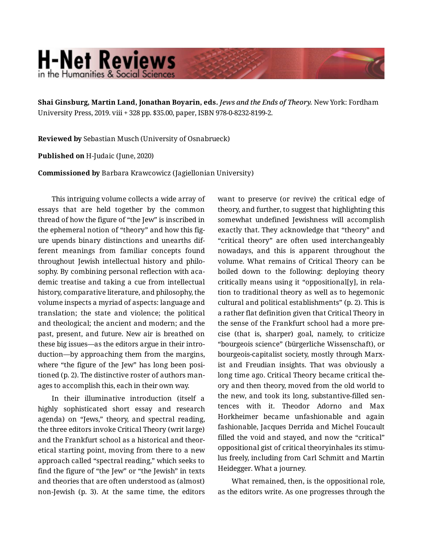## **H-Net Reviews** in the Humanities & Social Scienc

**Shai Ginsburg, Martin Land, Jonathan Boyarin, eds.** *Jews and the Ends of Theory.* New York: Fordham University Press, 2019. viii + 328 pp. \$35.00, paper, ISBN 978-0-8232-8199-2.

**Reviewed by** Sebastian Musch (University of Osnabrueck)

**Published on** H-Judaic (June, 2020)

**Commissioned by** Barbara Krawcowicz (Jagiellonian University)

This intriguing volume collects a wide array of essays that are held together by the common thread of how the figure of "the Jew" is inscribed in the ephemeral notion of "theory" and how this fig‐ ure upends binary distinctions and unearths dif‐ ferent meanings from familiar concepts found throughout Jewish intellectual history and philo‐ sophy. By combining personal reflection with academic treatise and taking a cue from intellectual history, comparative literature, and philosophy, the volume inspects a myriad of aspects: language and translation; the state and violence; the political and theological; the ancient and modern; and the past, present, and future. New air is breathed on these big issues—as the editors argue in their intro‐ duction—by approaching them from the margins, where "the figure of the Jew" has long been positioned (p. 2). The distinctive roster of authors man‐ ages to accomplish this, each in their own way.

In their illuminative introduction (itself a highly sophisticated short essay and research agenda) on "Jews," theory, and spectral reading, the three editors invoke Critical Theory (writ large) and the Frankfurt school as a historical and theor‐ etical starting point, moving from there to a new approach called "spectral reading," which seeks to find the figure of "the Jew" or "the Jewish" in texts and theories that are often understood as (almost) non-Jewish (p. 3). At the same time, the editors want to preserve (or revive) the critical edge of theory, and further, to suggest that highlighting this somewhat undefined Jewishness will accomplish exactly that. They acknowledge that "theory" and "critical theory" are often used interchangeably nowadays, and this is apparent throughout the volume. What remains of Critical Theory can be boiled down to the following: deploying theory critically means using it "oppositional[y], in rela‐ tion to traditional theory as well as to hegemonic cultural and political establishments" (p. 2). This is a rather flat definition given that Critical Theory in the sense of the Frankfurt school had a more pre‐ cise (that is, sharper) goal, namely, to criticize "bourgeois science" (bürgerliche Wissenschaft), or bourgeois-capitalist society, mostly through Marx‐ ist and Freudian insights. That was obviously a long time ago. Critical Theory became critical the‐ ory and then theory, moved from the old world to the new, and took its long, substantive-filled sen‐ tences with it. Theodor Adorno and Max Horkheimer became unfashionable and again fashionable, Jacques Derrida and Michel Foucault filled the void and stayed, and now the "critical" oppositional gist of critical theoryinhales its stimu‐ lus freely, including from Carl Schmitt and Martin Heidegger. What a journey.

What remained, then, is the oppositional role, as the editors write. As one progresses through the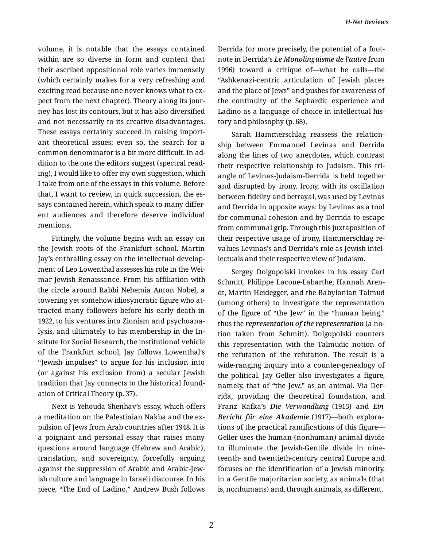volume, it is notable that the essays contained within are so diverse in form and content that their ascribed oppositional role varies immensely (which certainly makes for a very refreshing and exciting read because one never knows what to ex‐ pect from the next chapter). Theory along its journey has lost its contours, but it has also diversified and not necessarily to its creative disadvantages. These essays certainly succeed in raising import‐ ant theoretical issues; even so, the search for a common denominator is a bit more difficult. In ad‐ dition to the one the editors suggest (spectral read‐ ing), I would like to offer my own suggestion, which I take from one of the essays in this volume. Before that, I want to review, in quick succession, the es‐ says contained herein, which speak to many differ‐ ent audiences and therefore deserve individual mentions.

Fittingly, the volume begins with an essay on the Jewish roots of the Frankfurt school. Martin Jay's enthralling essay on the intellectual develop‐ ment of Leo Lowenthal assesses his role in the Wei‐ mar Jewish Renaissance. From his affiliation with the circle around Rabbi Nehemia Anton Nobel, a towering yet somehow idiosyncratic figure who at‐ tracted many followers before his early death in 1922, to his ventures into Zionism and psychoana‐ lysis, and ultimately to his membership in the In‐ stitute for Social Research, the institutional vehicle of the Frankfurt school, Jay follows Lowenthal's "Jewish impulses" to argue for his inclusion into (or against his exclusion from) a secular Jewish tradition that Jay connects to the historical found‐ ation of Critical Theory (p. 37).

Next is Yehouda Shenhav's essay, which offers a meditation on the Palestinian Nakba and the ex‐ pulsion of Jews from Arab countries after 1948. It is a poignant and personal essay that raises many questions around language (Hebrew and Arabic), translation, and sovereignty, forcefully arguing against the suppression of Arabic and Arabic-Jew‐ ish culture and language in Israeli discourse. In his piece, "The End of Ladino," Andrew Bush follows Derrida (or more precisely, the potential of a foot‐ note in Derrida's *Le Monolinguisme de l'autre* from 1996) toward a critique of—what he calls—the "Ashkenazi-centric articulation of Jewish places and the place of Jews" and pushes for awareness of the continuity of the Sephardic experience and Ladino as a language of choice in intellectual his‐ tory and philosophy (p. 68).

Sarah Hammerschlag reassess the relation‐ ship between Emmanuel Levinas and Derrida along the lines of two anecdotes, which contrast their respective relationship to Judaism. This tri‐ angle of Levinas-Judaism-Derrida is held together and disrupted by irony. Irony, with its oscillation between fidelity and betrayal, was used by Levinas and Derrida in opposite ways: by Levinas as a tool for communal cohesion and by Derrida to escape from communal grip. Through this juxtaposition of their respective usage of irony, Hammerschlag re‐ values Levinas's and Derrida's role as Jewish intel‐ lectuals and their respective view of Judaism.

Sergey Dolgopolski invokes in his essay Carl Schmitt, Philippe Lacoue-Labarthe, Hannah Aren‐ dt, Martin Heidegger, and the Babylonian Talmud (among others) to investigate the representation of the figure of "the Jew" in the "human being," thus the *representation of the representation* (a no‐ tion taken from Schmitt). Dolgopolski counters this representation with the Talmudic notion of the refutation of the refutation. The result is a wide-ranging inquiry into a counter-genealogy of the political. Jay Geller also investigates a figure, namely, that of "the Jew," as an animal. Via Der‐ rida, providing the theoretical foundation, and Franz Kafka's *Die Verwandlung* (1915) and *Ein Bericht für eine Akademie* (1917)—both explora‐ tions of the practical ramifications of this figure— Geller uses the human-(nonhuman) animal divide to illuminate the Jewish-Gentile divide in nine‐ teenth- and twentieth-century central Europe and focuses on the identification of a Jewish minority, in a Gentile majoritarian society, as animals (that is, nonhumans) and, through animals, as different.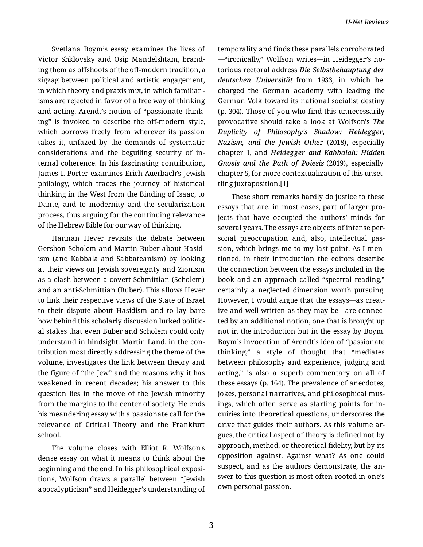Svetlana Boym's essay examines the lives of Victor Shklovsky and Osip Mandelshtam, brand‐ ing them as offshoots of the off-modern tradition, a zigzag between political and artistic engagement, in which theory and praxis mix, in which familiar isms are rejected in favor of a free way of thinking and acting. Arendt's notion of "passionate think‐ ing" is invoked to describe the off-modern style, which borrows freely from wherever its passion takes it, unfazed by the demands of systematic considerations and the beguiling security of in‐ ternal coherence. In his fascinating contribution, James I. Porter examines Erich Auerbach's Jewish philology, which traces the journey of historical thinking in the West from the Binding of Isaac, to Dante, and to modernity and the secularization process, thus arguing for the continuing relevance of the Hebrew Bible for our way of thinking.

Hannan Hever revisits the debate between Gershon Scholem and Martin Buber about Hasid‐ ism (and Kabbala and Sabbateanism) by looking at their views on Jewish sovereignty and Zionism as a clash between a covert Schmittian (Scholem) and an anti-Schmittian (Buber). This allows Hever to link their respective views of the State of Israel to their dispute about Hasidism and to lay bare how behind this scholarly discussion lurked politic‐ al stakes that even Buber and Scholem could only understand in hindsight. Martin Land, in the con‐ tribution most directly addressing the theme of the volume, investigates the link between theory and the figure of "the Jew" and the reasons why it has weakened in recent decades; his answer to this question lies in the move of the Jewish minority from the margins to the center of society. He ends his meandering essay with a passionate call for the relevance of Critical Theory and the Frankfurt school.

The volume closes with Elliot R. Wolfson's dense essay on what it means to think about the beginning and the end. In his philosophical exposi‐ tions, Wolfson draws a parallel between "Jewish apocalypticism" and Heidegger's understanding of temporality and finds these parallels corroborated —"ironically," Wolfson writes—in Heidegger's no‐ torious rectoral address *Die Selbstbehauptung der deutschen Universität* from 1933, in which he charged the German academy with leading the German Volk toward its national socialist destiny (p. 304). Those of you who find this unnecessarily provocative should take a look at Wolfson's *The Duplicity of Philosophy's Shadow: Heidegger, Nazism, and the Jewish Othe*r (2018), especially chapter 1, and *Heidegger and Kabbalah: Hidden Gnosis and the Path of Poiesis* (2019), especially chapter 5, for more contextualization of this unset‐ tling juxtaposition.[1]

These short remarks hardly do justice to these essays that are, in most cases, part of larger pro‐ jects that have occupied the authors' minds for several years. The essays are objects of intense per‐ sonal preoccupation and, also, intellectual passion, which brings me to my last point. As I men‐ tioned, in their introduction the editors describe the connection between the essays included in the book and an approach called "spectral reading," certainly a neglected dimension worth pursuing. However, I would argue that the essays—as creat‐ ive and well written as they may be—are connec‐ ted by an additional notion, one that is brought up not in the introduction but in the essay by Boym. Boym's invocation of Arendt's idea of "passionate thinking," a style of thought that "mediates between philosophy and experience, judging and acting," is also a superb commentary on all of these essays (p. 164). The prevalence of anecdotes, jokes, personal narratives, and philosophical mus‐ ings, which often serve as starting points for in‐ quiries into theoretical questions, underscores the drive that guides their authors. As this volume ar‐ gues, the critical aspect of theory is defined not by approach, method, or theoretical fidelity, but by its opposition against. Against what? As one could suspect, and as the authors demonstrate, the an‐ swer to this question is most often rooted in one's own personal passion.